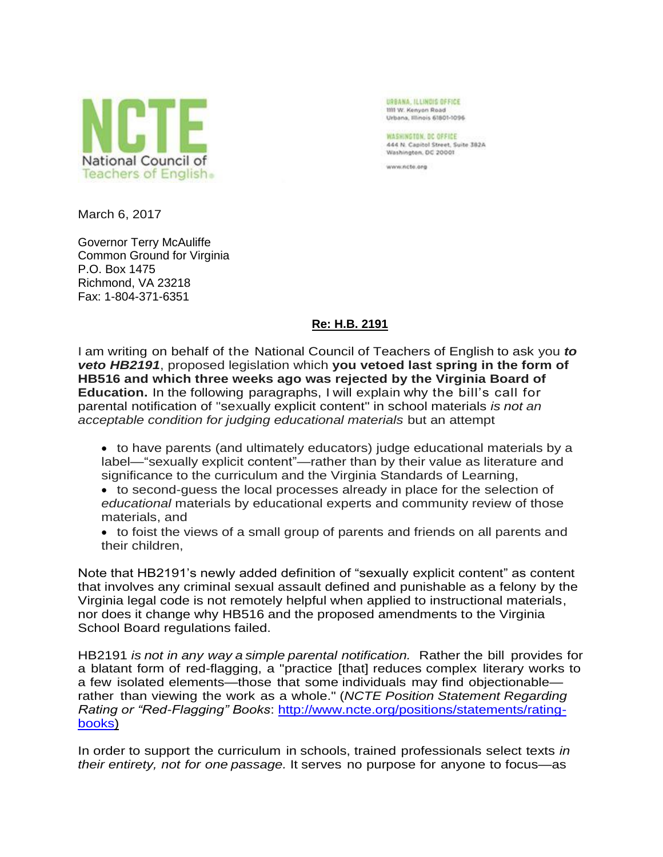

URBANA, ILLINDIS OFFICE **1111 W. Kenyon Road** Urbana, Illinois 61801-1096

WASHINGTON, DC OFFICE 444 N. Capitol Street, Suite 382A Washington, DC 20001

www.ncto.org

March 6, 2017

Governor Terry McAuliffe Common Ground for Virginia P.O. Box 1475 Richmond, VA 23218 Fax: 1-804-371-6351

## **Re: H.B. 2191**

I am writing on behalf of the National Council of Teachers of English to ask you *to veto HB2191*, proposed legislation which **you vetoed last spring in the form of HB516 and which three weeks ago was rejected by the Virginia Board of Education.** In the following paragraphs, I will explain why the bill's call for parental notification of "sexually explicit content" in school materials *is not an acceptable condition for judging educational materials* but an attempt

- to have parents (and ultimately educators) judge educational materials by a label—"sexually explicit content"—rather than by their value as literature and significance to the curriculum and the Virginia Standards of Learning,
- to second-guess the local processes already in place for the selection of *educational* materials by educational experts and community review of those materials, and
- to foist the views of a small group of parents and friends on all parents and their children,

Note that HB2191's newly added definition of "sexually explicit content" as content that involves any criminal sexual assault defined and punishable as a felony by the Virginia legal code is not remotely helpful when applied to instructional materials, nor does it change why HB516 and the proposed amendments to the Virginia School Board regulations failed.

HB2191 *is not in any way a simple parental notification.* Rather the bill provides for a blatant form of red-flagging, a "practice [that] reduces complex literary works to a few isolated elements—those that some individuals may find objectionable rather than viewing the work as a whole." (*NCTE Position Statement Regarding Rating or "Red-Flagging" Books*: [http://www.ncte.org/positions/statements/rating](http://www.ncte.org/positions/statements/rating-books))[books\)](http://www.ncte.org/positions/statements/rating-books))

In order to support the curriculum in schools, trained professionals select texts *in their entirety, not for one passage.* It serves no purpose for anyone to focus—as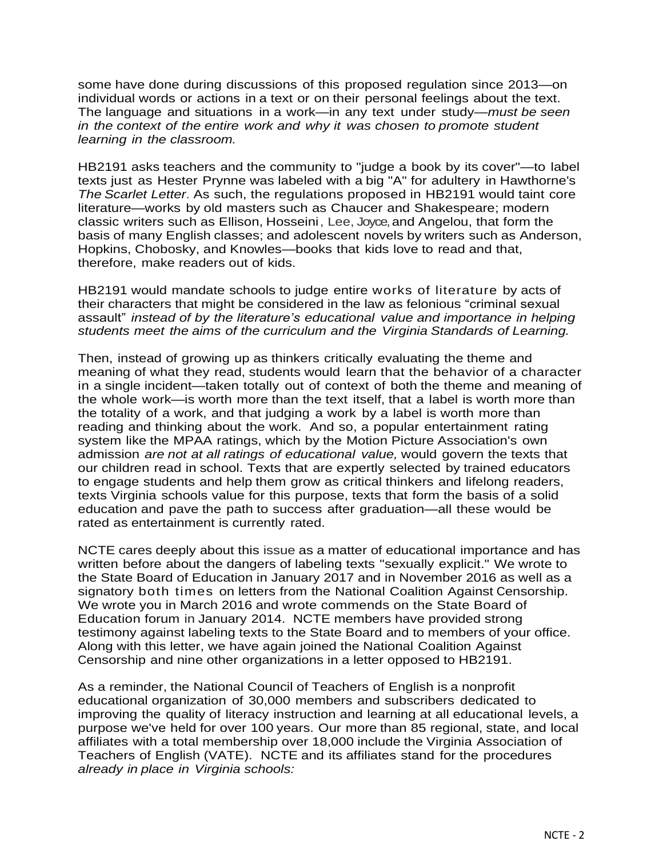some have done during discussions of this proposed regulation since 2013—on individual words or actions in a text or on their personal feelings about the text. The language and situations in a work—in any text under study—*must be seen in the context of the entire work and why it was chosen to promote student learning in the classroom.*

HB2191 asks teachers and the community to "judge a book by its cover"—to label texts just as Hester Prynne was labeled with a big "A" for adultery in Hawthorne's *The Scarlet Letter.* As such, the regulations proposed in HB2191 would taint core literature—works by old masters such as Chaucer and Shakespeare; modern classic writers such as Ellison, Hosseini, Lee, Joyce, and Angelou, that form the basis of many English classes; and adolescent novels by writers such as Anderson, Hopkins, Chobosky, and Knowles—books that kids love to read and that, therefore, make readers out of kids.

HB2191 would mandate schools to judge entire works of literature by acts of their characters that might be considered in the law as felonious "criminal sexual assault" *instead of by the literature's educational value and importance in helping students meet the aims of the curriculum and the Virginia Standards of Learning.*

Then, instead of growing up as thinkers critically evaluating the theme and meaning of what they read, students would learn that the behavior of a character in a single incident—taken totally out of context of both the theme and meaning of the whole work—is worth more than the text itself, that a label is worth more than the totality of a work, and that judging a work by a label is worth more than reading and thinking about the work. And so, a popular entertainment rating system like the MPAA ratings, which by the Motion Picture Association's own admission *are not at all ratings of educational value,* would govern the texts that our children read in school. Texts that are expertly selected by trained educators to engage students and help them grow as critical thinkers and lifelong readers, texts Virginia schools value for this purpose, texts that form the basis of a solid education and pave the path to success after graduation—all these would be rated as entertainment is currently rated.

NCTE cares deeply about this issue as a matter of educational importance and has written before about the dangers of labeling texts "sexually explicit." We wrote to the State Board of Education in January 2017 and in November 2016 as well as a signatory both times on letters from the National Coalition Against Censorship. We wrote you in March 2016 and wrote commends on the State Board of Education forum in January 2014. NCTE members have provided strong testimony against labeling texts to the State Board and to members of your office. Along with this letter, we have again joined the National Coalition Against Censorship and nine other organizations in a letter opposed to HB2191.

As a reminder, the National Council of Teachers of English is a nonprofit educational organization of 30,000 members and subscribers dedicated to improving the quality of literacy instruction and learning at all educational levels, a purpose we've held for over 100 years. Our more than 85 regional, state, and local affiliates with a total membership over 18,000 include the Virginia Association of Teachers of English (VATE). NCTE and its affiliates stand for the procedures *already in place in Virginia schools:*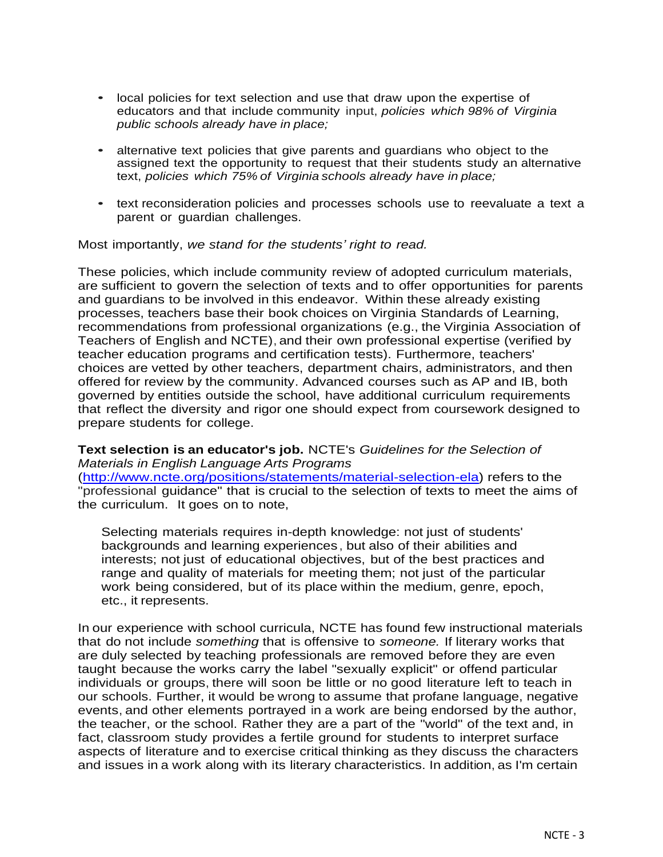- local policies for text selection and use that draw upon the expertise of educators and that include community input, *policies which 98% of Virginia public schools already have in place;*
- alternative text policies that give parents and guardians who object to the assigned text the opportunity to request that their students study an alternative text, *policies which 75% of Virginia schools already have in place;*
- text reconsideration policies and processes schools use to reevaluate a text a parent or guardian challenges.

Most importantly, *we stand for the students' right to read.*

These policies, which include community review of adopted curriculum materials, are sufficient to govern the selection of texts and to offer opportunities for parents and guardians to be involved in this endeavor. Within these already existing processes, teachers base their book choices on Virginia Standards of Learning, recommendations from professional organizations (e.g., the Virginia Association of Teachers of English and NCTE), and their own professional expertise (verified by teacher education programs and certification tests). Furthermore, teachers' choices are vetted by other teachers, department chairs, administrators, and then offered for review by the community. Advanced courses such as AP and IB, both governed by entities outside the school, have additional curriculum requirements that reflect the diversity and rigor one should expect from coursework designed to prepare students for college.

**Text selection is an educator's job.** NCTE's *Guidelines for the Selection of Materials in English Language Arts Programs*

[\(http://www.ncte.org/positions/statements/material-selection-ela\)](http://www.ncte.org/positions/statements/material-selection-ela) refers to the "professional guidance" that is crucial to the selection of texts to meet the aims of the curriculum. It goes on to note,

Selecting materials requires in-depth knowledge: not just of students' backgrounds and learning experiences, but also of their abilities and interests; not just of educational objectives, but of the best practices and range and quality of materials for meeting them; not just of the particular work being considered, but of its place within the medium, genre, epoch, etc., it represents.

In our experience with school curricula, NCTE has found few instructional materials that do not include *something* that is offensive to *someone.* If literary works that are duly selected by teaching professionals are removed before they are even taught because the works carry the label "sexually explicit" or offend particular individuals or groups, there will soon be little or no good literature left to teach in our schools. Further, it would be wrong to assume that profane language, negative events, and other elements portrayed in a work are being endorsed by the author, the teacher, or the school. Rather they are a part of the "world" of the text and, in fact, classroom study provides a fertile ground for students to interpret surface aspects of literature and to exercise critical thinking as they discuss the characters and issues in a work along with its literary characteristics. In addition, as I'm certain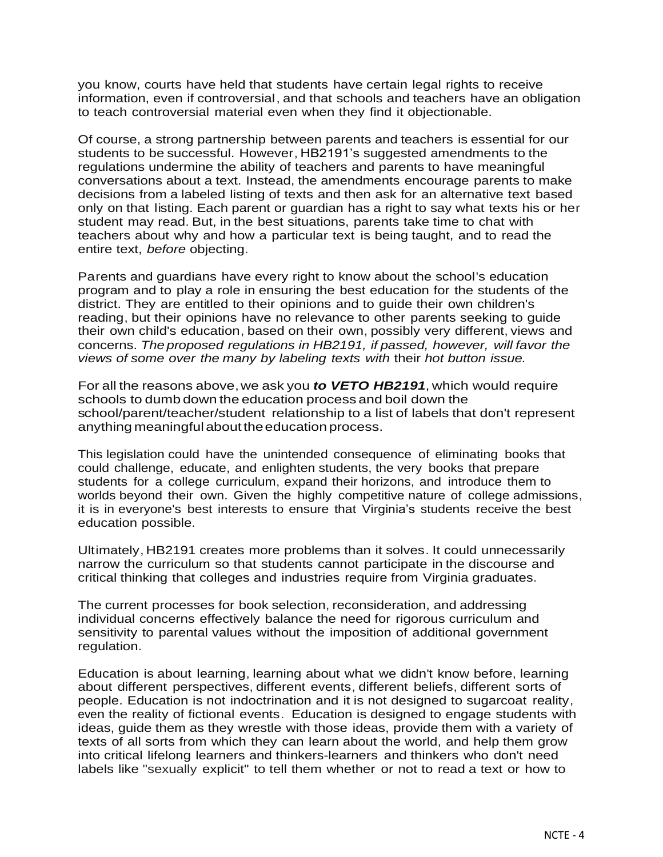you know, courts have held that students have certain legal rights to receive information, even if controversial, and that schools and teachers have an obligation to teach controversial material even when they find it objectionable.

Of course, a strong partnership between parents and teachers is essential for our students to be successful. However, HB2191's suggested amendments to the regulations undermine the ability of teachers and parents to have meaningful conversations about a text. Instead, the amendments encourage parents to make decisions from a labeled listing of texts and then ask for an alternative text based only on that listing. Each parent or guardian has a right to say what texts his or her student may read. But, in the best situations, parents take time to chat with teachers about why and how a particular text is being taught, and to read the entire text, *before* objecting.

Parents and guardians have every right to know about the school's education program and to play a role in ensuring the best education for the students of the district. They are entitled to their opinions and to guide their own children's reading, but their opinions have no relevance to other parents seeking to guide their own child's education, based on their own, possibly very different, views and concerns. *The proposed regulations in HB2191, if passed, however, will favor the views of some over the many by labeling texts with* their *hot button issue.*

For all the reasons above,we ask you *to VETO HB2191*, which would require schools to dumb down the education process and boil down the school/parent/teacher/student relationship to a list of labels that don't represent anything meaningful about the education process.

This legislation could have the unintended consequence of eliminating books that could challenge, educate, and enlighten students, the very books that prepare students for a college curriculum, expand their horizons, and introduce them to worlds beyond their own. Given the highly competitive nature of college admissions, it is in everyone's best interests to ensure that Virginia's students receive the best education possible.

Ultimately, HB2191 creates more problems than it solves. It could unnecessarily narrow the curriculum so that students cannot participate in the discourse and critical thinking that colleges and industries require from Virginia graduates.

The current processes for book selection, reconsideration, and addressing individual concerns effectively balance the need for rigorous curriculum and sensitivity to parental values without the imposition of additional government regulation.

Education is about learning, learning about what we didn't know before, learning about different perspectives, different events, different beliefs, different sorts of people. Education is not indoctrination and it is not designed to sugarcoat reality, even the reality of fictional events. Education is designed to engage students with ideas, guide them as they wrestle with those ideas, provide them with a variety of texts of all sorts from which they can learn about the world, and help them grow into critical lifelong learners and thinkers-learners and thinkers who don't need labels like "sexually explicit" to tell them whether or not to read a text or how to